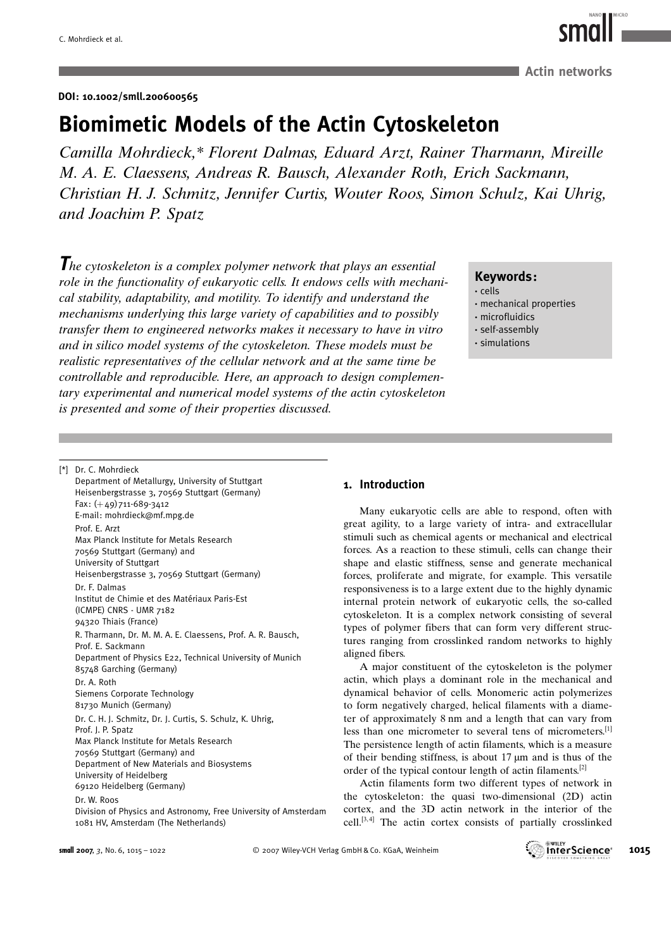DOI: 10.1002/smll.200600565

# Biomimetic Models of the Actin Cytoskeleton

Camilla Mohrdieck,\* Florent Dalmas, Eduard Arzt, Rainer Tharmann, Mireille M. A. E. Claessens, Andreas R. Bausch, Alexander Roth, Erich Sackmann, Christian H. J. Schmitz, Jennifer Curtis, Wouter Roos, Simon Schulz, Kai Uhrig, and Joachim P. Spatz

The cytoskeleton is a complex polymer network that plays an essential role in the functionality of eukaryotic cells. It endows cells with mechanical stability, adaptability, and motility. To identify and understand the mechanisms underlying this large variety of capabilities and to possibly transfer them to engineered networks makes it necessary to have in vitro and in silico model systems of the cytoskeleton. These models must be realistic representatives of the cellular network and at the same time be controllable and reproducible. Here, an approach to design complementary experimental and numerical model systems of the actin cytoskeleton is presented and some of their properties discussed.

Keywords :

- · cells
- · mechanical properties
- · microfluidics
- · self-assembly
- · simulations

[\*] Dr. C. Mohrdieck

Department of Metallurgy, University of Stuttgart Heisenbergstrasse 3, 70569 Stuttgart (Germany) Fax: (+49) 711-689-3412 E-mail: mohrdieck@mf.mpg.de Prof. E. Arzt Max Planck Institute for Metals Research 70569 Stuttgart (Germany) and University of Stuttgart Heisenbergstrasse 3, 70569 Stuttgart (Germany) Dr. F. Dalmas Institut de Chimie et des Matériaux Paris-Est (ICMPE) CNRS - UMR 7182 94320 Thiais (France) R. Tharmann, Dr. M. M. A. E. Claessens, Prof. A. R. Bausch, Prof. E. Sackmann Department of Physics E22, Technical University of Munich 85748 Garching (Germany) Dr. A. Roth Siemens Corporate Technology 81730 Munich (Germany) Dr. C. H. J. Schmitz, Dr. J. Curtis, S. Schulz, K. Uhrig, Prof. J. P. Spatz Max Planck Institute for Metals Research 70569 Stuttgart (Germany) and Department of New Materials and Biosystems University of Heidelberg 69120 Heidelberg (Germany)

#### Dr. W. Roos

Division of Physics and Astronomy, Free University of Amsterdam 1081 HV, Amsterdam (The Netherlands)

# 1. Introduction

Many eukaryotic cells are able to respond, often with great agility, to a large variety of intra- and extracellular stimuli such as chemical agents or mechanical and electrical forces. As a reaction to these stimuli, cells can change their shape and elastic stiffness, sense and generate mechanical forces, proliferate and migrate, for example. This versatile responsiveness is to a large extent due to the highly dynamic internal protein network of eukaryotic cells, the so-called cytoskeleton. It is a complex network consisting of several types of polymer fibers that can form very different structures ranging from crosslinked random networks to highly aligned fibers.

A major constituent of the cytoskeleton is the polymer actin, which plays a dominant role in the mechanical and dynamical behavior of cells. Monomeric actin polymerizes to form negatively charged, helical filaments with a diameter of approximately 8 nm and a length that can vary from less than one micrometer to several tens of micrometers.<sup>[1]</sup> The persistence length of actin filaments, which is a measure of their bending stiffness, is about  $17 \mu m$  and is thus of the order of the typical contour length of actin filaments.[2]

Actin filaments form two different types of network in the cytoskeleton: the quasi two-dimensional (2D) actin cortex, and the 3D actin network in the interior of the cell.[3, 4] The actin cortex consists of partially crosslinked





**Actin networks**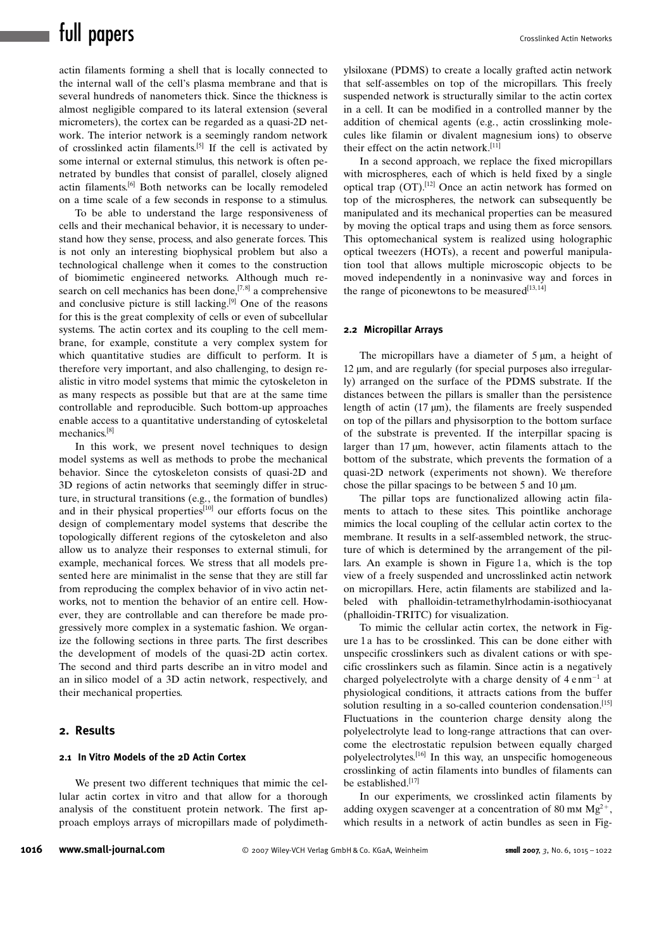actin filaments forming a shell that is locally connected to the internal wall of the cell's plasma membrane and that is several hundreds of nanometers thick. Since the thickness is almost negligible compared to its lateral extension (several micrometers), the cortex can be regarded as a quasi-2D network. The interior network is a seemingly random network of crosslinked actin filaments.<sup>[5]</sup> If the cell is activated by some internal or external stimulus, this network is often penetrated by bundles that consist of parallel, closely aligned actin filaments.[6] Both networks can be locally remodeled on a time scale of a few seconds in response to a stimulus.

To be able to understand the large responsiveness of cells and their mechanical behavior, it is necessary to understand how they sense, process, and also generate forces. This is not only an interesting biophysical problem but also a technological challenge when it comes to the construction of biomimetic engineered networks. Although much research on cell mechanics has been done,  $[7,8]$  a comprehensive and conclusive picture is still lacking.[9] One of the reasons for this is the great complexity of cells or even of subcellular systems. The actin cortex and its coupling to the cell membrane, for example, constitute a very complex system for which quantitative studies are difficult to perform. It is therefore very important, and also challenging, to design realistic in vitro model systems that mimic the cytoskeleton in as many respects as possible but that are at the same time controllable and reproducible. Such bottom-up approaches enable access to a quantitative understanding of cytoskeletal mechanics.[8]

In this work, we present novel techniques to design model systems as well as methods to probe the mechanical behavior. Since the cytoskeleton consists of quasi-2D and 3D regions of actin networks that seemingly differ in structure, in structural transitions (e.g., the formation of bundles) and in their physical properties<sup>[10]</sup> our efforts focus on the design of complementary model systems that describe the topologically different regions of the cytoskeleton and also allow us to analyze their responses to external stimuli, for example, mechanical forces. We stress that all models presented here are minimalist in the sense that they are still far from reproducing the complex behavior of in vivo actin networks, not to mention the behavior of an entire cell. However, they are controllable and can therefore be made progressively more complex in a systematic fashion. We organize the following sections in three parts. The first describes the development of models of the quasi-2D actin cortex. The second and third parts describe an in vitro model and an in silico model of a 3D actin network, respectively, and their mechanical properties.

#### 2. Results

# 2.1 In Vitro Models of the 2D Actin Cortex

We present two different techniques that mimic the cellular actin cortex in vitro and that allow for a thorough analysis of the constituent protein network. The first approach employs arrays of micropillars made of polydimethylsiloxane (PDMS) to create a locally grafted actin network that self-assembles on top of the micropillars. This freely suspended network is structurally similar to the actin cortex in a cell. It can be modified in a controlled manner by the addition of chemical agents (e.g., actin crosslinking molecules like filamin or divalent magnesium ions) to observe their effect on the actin network.<sup>[11]</sup>

In a second approach, we replace the fixed micropillars with microspheres, each of which is held fixed by a single optical trap  $(OT)$ .<sup>[12]</sup> Once an actin network has formed on top of the microspheres, the network can subsequently be manipulated and its mechanical properties can be measured by moving the optical traps and using them as force sensors. This optomechanical system is realized using holographic optical tweezers (HOTs), a recent and powerful manipulation tool that allows multiple microscopic objects to be moved independently in a noninvasive way and forces in the range of piconewtons to be measured $[13, 14]$ 

#### 2.2 Micropillar Arrays

The micropillars have a diameter of  $5 \mu m$ , a height of  $12 \mu m$ , and are regularly (for special purposes also irregularly) arranged on the surface of the PDMS substrate. If the distances between the pillars is smaller than the persistence length of actin  $(17 \mu m)$ , the filaments are freely suspended on top of the pillars and physisorption to the bottom surface of the substrate is prevented. If the interpillar spacing is larger than  $17 \mu m$ , however, actin filaments attach to the bottom of the substrate, which prevents the formation of a quasi-2D network (experiments not shown). We therefore chose the pillar spacings to be between 5 and 10  $\mu$ m.

The pillar tops are functionalized allowing actin filaments to attach to these sites. This pointlike anchorage mimics the local coupling of the cellular actin cortex to the membrane. It results in a self-assembled network, the structure of which is determined by the arrangement of the pillars. An example is shown in Figure 1 a, which is the top view of a freely suspended and uncrosslinked actin network on micropillars. Here, actin filaments are stabilized and labeled with phalloidin-tetramethylrhodamin-isothiocyanat (phalloidin-TRITC) for visualization.

To mimic the cellular actin cortex, the network in Figure 1 a has to be crosslinked. This can be done either with unspecific crosslinkers such as divalent cations or with specific crosslinkers such as filamin. Since actin is a negatively charged polyelectrolyte with a charge density of  $4 \text{ e nm}^{-1}$  at physiological conditions, it attracts cations from the buffer solution resulting in a so-called counterion condensation.<sup>[15]</sup> Fluctuations in the counterion charge density along the polyelectrolyte lead to long-range attractions that can overcome the electrostatic repulsion between equally charged polyelectrolytes.[16] In this way, an unspecific homogeneous crosslinking of actin filaments into bundles of filaments can be established.[17]

In our experiments, we crosslinked actin filaments by adding oxygen scavenger at a concentration of 80 mm  $Mg^{2+}$ , which results in a network of actin bundles as seen in Fig-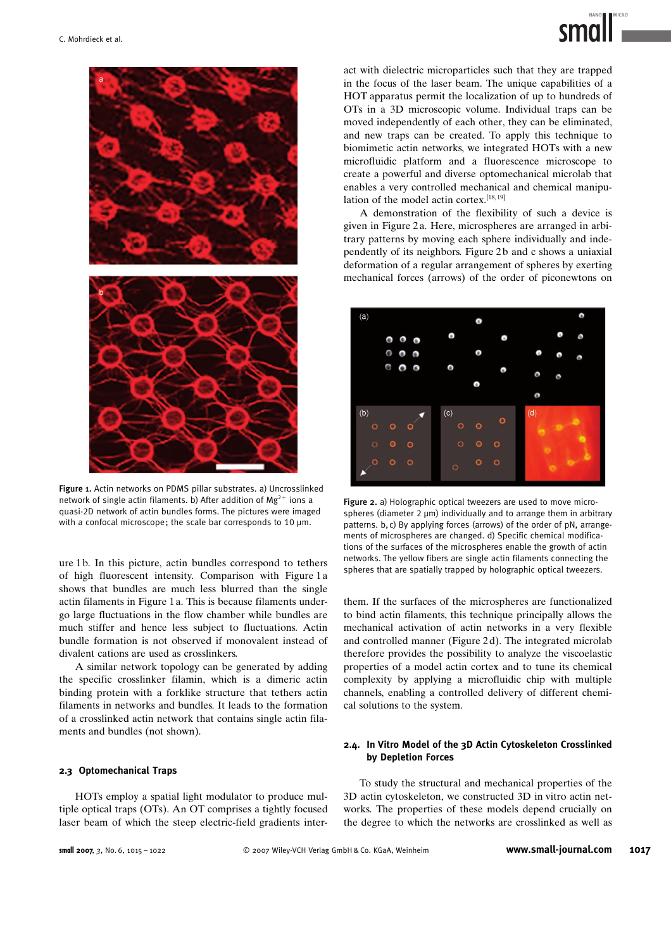

Figure 1. Actin networks on PDMS pillar substrates. a) Uncrosslinked network of single actin filaments. b) After addition of  $Mg^{2+}$  ions a quasi-2D network of actin bundles forms. The pictures were imaged with a confocal microscope; the scale bar corresponds to 10 µm.

ure 1 b. In this picture, actin bundles correspond to tethers of high fluorescent intensity. Comparison with Figure 1 a shows that bundles are much less blurred than the single actin filaments in Figure 1 a. This is because filaments undergo large fluctuations in the flow chamber while bundles are much stiffer and hence less subject to fluctuations. Actin bundle formation is not observed if monovalent instead of divalent cations are used as crosslinkers.

A similar network topology can be generated by adding the specific crosslinker filamin, which is a dimeric actin binding protein with a forklike structure that tethers actin filaments in networks and bundles. It leads to the formation of a crosslinked actin network that contains single actin filaments and bundles (not shown).

#### 2.3 Optomechanical Traps

HOTs employ a spatial light modulator to produce multiple optical traps (OTs). An OT comprises a tightly focused laser beam of which the steep electric-field gradients interact with dielectric microparticles such that they are trapped in the focus of the laser beam. The unique capabilities of a HOT apparatus permit the localization of up to hundreds of OTs in a 3D microscopic volume. Individual traps can be moved independently of each other, they can be eliminated, and new traps can be created. To apply this technique to biomimetic actin networks, we integrated HOTs with a new microfluidic platform and a fluorescence microscope to create a powerful and diverse optomechanical microlab that enables a very controlled mechanical and chemical manipulation of the model actin cortex.[18, 19]

A demonstration of the flexibility of such a device is given in Figure 2 a. Here, microspheres are arranged in arbitrary patterns by moving each sphere individually and independently of its neighbors. Figure 2 b and c shows a uniaxial deformation of a regular arrangement of spheres by exerting mechanical forces (arrows) of the order of piconewtons on



Figure 2. a) Holographic optical tweezers are used to move microspheres (diameter 2  $\mu$ m) individually and to arrange them in arbitrary patterns. b, c) By applying forces (arrows) of the order of pN, arrangements of microspheres are changed. d) Specific chemical modifications of the surfaces of the microspheres enable the growth of actin networks. The yellow fibers are single actin filaments connecting the spheres that are spatially trapped by holographic optical tweezers.

them. If the surfaces of the microspheres are functionalized to bind actin filaments, this technique principally allows the mechanical activation of actin networks in a very flexible and controlled manner (Figure 2 d). The integrated microlab therefore provides the possibility to analyze the viscoelastic properties of a model actin cortex and to tune its chemical complexity by applying a microfluidic chip with multiple channels, enabling a controlled delivery of different chemical solutions to the system.

### 2.4. In Vitro Model of the 3D Actin Cytoskeleton Crosslinked by Depletion Forces

To study the structural and mechanical properties of the 3D actin cytoskeleton, we constructed 3D in vitro actin networks. The properties of these models depend crucially on the degree to which the networks are crosslinked as well as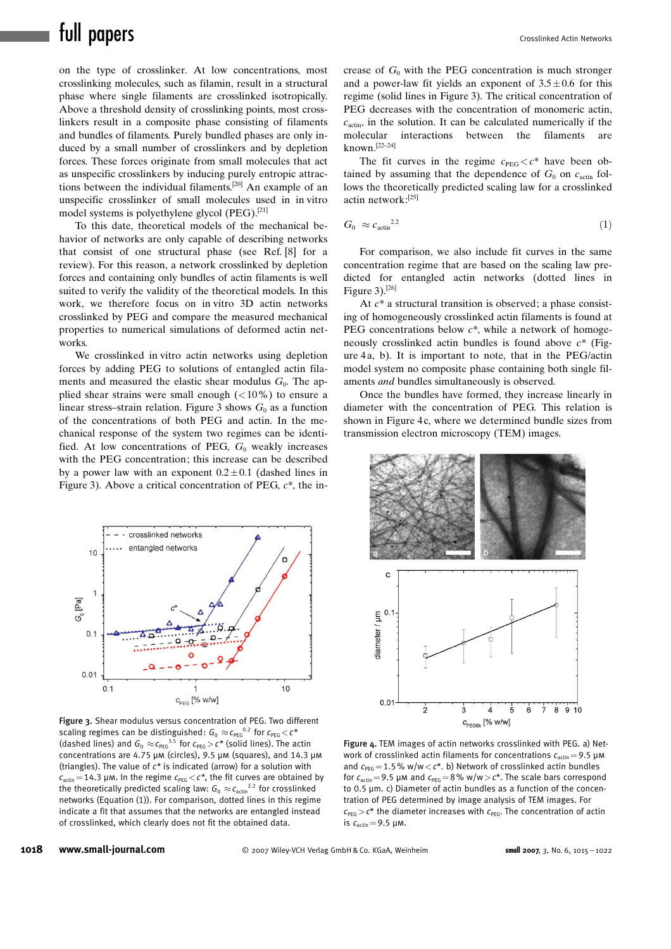on the type of crosslinker. At low concentrations, most crosslinking molecules, such as filamin, result in a structural phase where single filaments are crosslinked isotropically. Above a threshold density of crosslinking points, most crosslinkers result in a composite phase consisting of filaments and bundles of filaments. Purely bundled phases are only induced by a small number of crosslinkers and by depletion forces. These forces originate from small molecules that act as unspecific crosslinkers by inducing purely entropic attractions between the individual filaments.[20] An example of an unspecific crosslinker of small molecules used in in vitro model systems is polyethylene glycol (PEG).[21]

To this date, theoretical models of the mechanical behavior of networks are only capable of describing networks that consist of one structural phase (see Ref. [8] for a review). For this reason, a network crosslinked by depletion forces and containing only bundles of actin filaments is well suited to verify the validity of the theoretical models. In this work, we therefore focus on in vitro 3D actin networks crosslinked by PEG and compare the measured mechanical properties to numerical simulations of deformed actin networks.

We crosslinked in vitro actin networks using depletion forces by adding PEG to solutions of entangled actin filaments and measured the elastic shear modulus  $G_0$ . The applied shear strains were small enough  $(<10\%)$  to ensure a linear stress–strain relation. Figure 3 shows  $G_0$  as a function of the concentrations of both PEG and actin. In the mechanical response of the system two regimes can be identified. At low concentrations of PEG,  $G_0$  weakly increases with the PEG concentration; this increase can be described by a power law with an exponent  $0.2 \pm 0.1$  (dashed lines in Figure 3). Above a critical concentration of PEG,  $c^*$ , the in-



Figure 3. Shear modulus versus concentration of PEG. Two different scaling regimes can be distinguished:  $G_0 \approx \! c_{\text{PEG}}{}^{0.2}$  for  $c_{\text{PEG}} \!<\! c^{\star}$ (dashed lines) and  $G_0 \approx c_{\text{PEG}}^{3.5}$  for  $c_{\text{PEG}} > c^*$  (solid lines). The actin concentrations are 4.75  $\mu$ m (circles), 9.5  $\mu$ m (squares), and 14.3  $\mu$ m (triangles). The value of  $c^*$  is indicated (arrow) for a solution with  $c_{\text{actin}} = 14.3$  µm. In the regime  $c_{\text{PEG}} < c^*$ , the fit curves are obtained by the theoretically predicted scaling law:  $G_0 \approx c_{\text{actin}}^{2.2}$  for crosslinked networks (Equation (1)). For comparison, dotted lines in this regime indicate a fit that assumes that the networks are entangled instead of crosslinked, which clearly does not fit the obtained data.

crease of  $G_0$  with the PEG concentration is much stronger and a power-law fit yields an exponent of  $3.5 \pm 0.6$  for this regime (solid lines in Figure 3). The critical concentration of PEG decreases with the concentration of monomeric actin,  $c_{\text{actin}}$ , in the solution. It can be calculated numerically if the molecular interactions between the filaments are known.[22–24]

The fit curves in the regime  $c_{\text{PEG}} < c^*$  have been obtained by assuming that the dependence of  $G_0$  on  $c_{\text{actin}}$  follows the theoretically predicted scaling law for a crosslinked actin network:[25]

$$
G_0 \approx c_{\text{actin}}^{2.2} \tag{1}
$$

For comparison, we also include fit curves in the same concentration regime that are based on the scaling law predicted for entangled actin networks (dotted lines in Figure  $3$ ).<sup>[26]</sup>

At  $c^*$  a structural transition is observed; a phase consisting of homogeneously crosslinked actin filaments is found at PEG concentrations below  $c^*$ , while a network of homogeneously crosslinked actin bundles is found above  $c^*$  (Figure 4a, b). It is important to note, that in the PEG/actin model system no composite phase containing both single filaments and bundles simultaneously is observed.

Once the bundles have formed, they increase linearly in diameter with the concentration of PEG. This relation is shown in Figure 4c, where we determined bundle sizes from transmission electron microscopy (TEM) images.



Figure 4. TEM images of actin networks crosslinked with PEG. a) Network of crosslinked actin filaments for concentrations  $c_{\text{actin}}=9.5 \ \mu \text{m}$ and  $c_{\text{PEG}} = 1.5$ % w/w  $<$  c\*. b) Network of crosslinked actin bundles for  $c_{\text{actin}}=9.5$  µm and  $c_{\text{PEG}}=8\%$  w/w $>c^*$ . The scale bars correspond to 0.5  $\mu$ m. c) Diameter of actin bundles as a function of the concentration of PEG determined by image analysis of TEM images. For  $c_{\text{PFG}} > c^*$  the diameter increases with  $c_{\text{PFG}}$ . The concentration of actin is  $c_{\text{actin}} = 9.5 \text{ µM}.$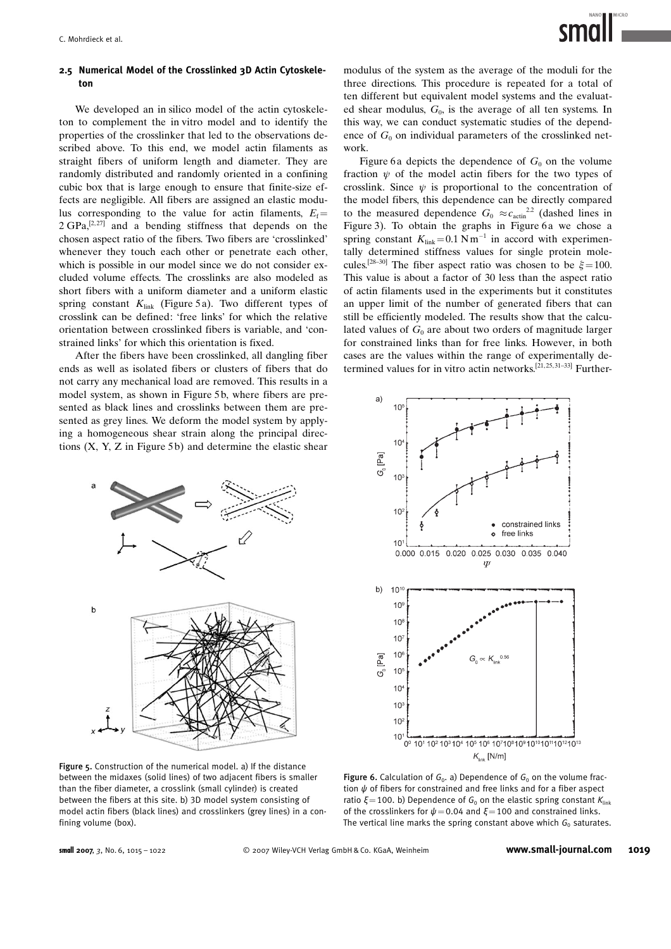# 2.5 Numerical Model of the Crosslinked 3D Actin Cytoskeleton

We developed an in silico model of the actin cytoskeleton to complement the in vitro model and to identify the properties of the crosslinker that led to the observations described above. To this end, we model actin filaments as straight fibers of uniform length and diameter. They are randomly distributed and randomly oriented in a confining cubic box that is large enough to ensure that finite-size effects are negligible. All fibers are assigned an elastic modulus corresponding to the value for actin filaments,  $E_f$ =  $2 \text{ GPa}$ ,  $[2.27]$  and a bending stiffness that depends on the chosen aspect ratio of the fibers. Two fibers are 'crosslinked' whenever they touch each other or penetrate each other, which is possible in our model since we do not consider excluded volume effects. The crosslinks are also modeled as short fibers with a uniform diameter and a uniform elastic spring constant  $K_{\text{link}}$  (Figure 5a). Two different types of crosslink can be defined: 'free links' for which the relative orientation between crosslinked fibers is variable, and 'constrained links' for which this orientation is fixed.

After the fibers have been crosslinked, all dangling fiber ends as well as isolated fibers or clusters of fibers that do not carry any mechanical load are removed. This results in a model system, as shown in Figure 5b, where fibers are presented as black lines and crosslinks between them are presented as grey lines. We deform the model system by applying a homogeneous shear strain along the principal directions  $(X, Y, Z)$  in Figure 5b) and determine the elastic shear



Figure 5. Construction of the numerical model. a) If the distance between the midaxes (solid lines) of two adjacent fibers is smaller than the fiber diameter, a crosslink (small cylinder) is created between the fibers at this site. b) 3D model system consisting of model actin fibers (black lines) and crosslinkers (grey lines) in a confining volume (box).

modulus of the system as the average of the moduli for the three directions. This procedure is repeated for a total of ten different but equivalent model systems and the evaluated shear modulus,  $G_0$ , is the average of all ten systems. In this way, we can conduct systematic studies of the dependence of  $G_0$  on individual parameters of the crosslinked network.

Figure 6a depicts the dependence of  $G_0$  on the volume fraction  $\psi$  of the model actin fibers for the two types of crosslink. Since  $\psi$  is proportional to the concentration of the model fibers, this dependence can be directly compared to the measured dependence  $G_0 \approx c_{\text{actin}}^{2.2}$  (dashed lines in Figure 3). To obtain the graphs in Figure 6a we chose a spring constant  $K_{\text{link}} = 0.1 \text{ N m}^{-1}$  in accord with experimentally determined stiffness values for single protein molecules.<sup>[28–30]</sup> The fiber aspect ratio was chosen to be  $\xi$ =100. This value is about a factor of 30 less than the aspect ratio of actin filaments used in the experiments but it constitutes an upper limit of the number of generated fibers that can still be efficiently modeled. The results show that the calculated values of  $G_0$  are about two orders of magnitude larger for constrained links than for free links. However, in both cases are the values within the range of experimentally determined values for in vitro actin networks.<sup>[21, 25, 31-33]</sup> Further-



Figure 6. Calculation of  $G_0$ . a) Dependence of  $G_0$  on the volume fraction  $\psi$  of fibers for constrained and free links and for a fiber aspect ratio  $\xi$ =100. b) Dependence of  $G_0$  on the elastic spring constant  $K_{\text{link}}$ of the crosslinkers for  $\psi$  = 0.04 and  $\xi$ =100 and constrained links. The vertical line marks the spring constant above which  $G_0$  saturates.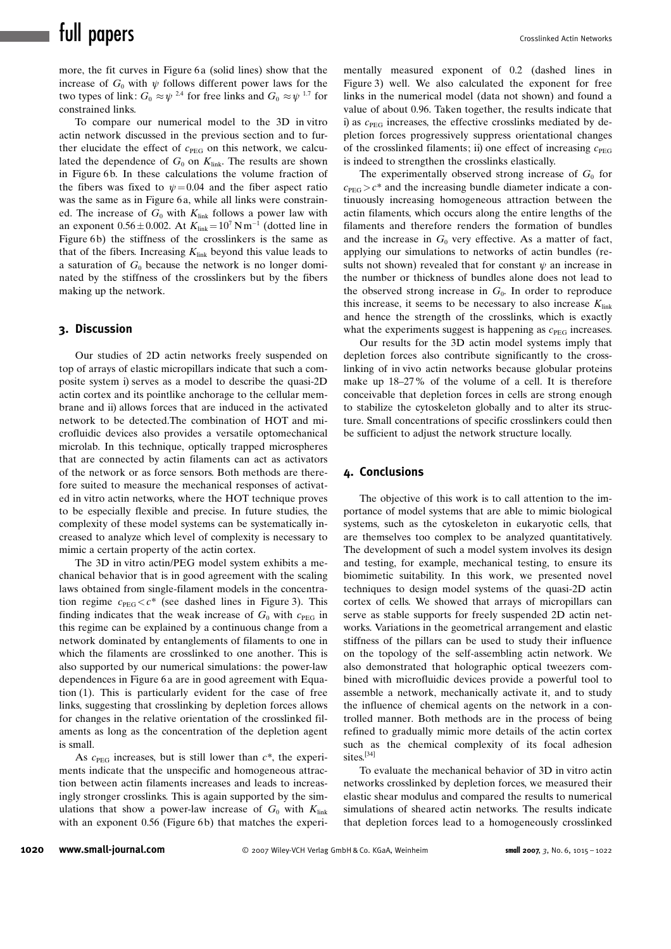# full papers and the crosslinked Actin Networks

more, the fit curves in Figure 6a (solid lines) show that the increase of  $G_0$  with  $\psi$  follows different power laws for the two types of link:  $G_0 \approx \psi^{2.4}$  for free links and  $G_0 \approx \psi^{1.7}$  for constrained links.

To compare our numerical model to the 3D in vitro actin network discussed in the previous section and to further elucidate the effect of  $c_{\text{PEG}}$  on this network, we calculated the dependence of  $G_0$  on  $K_{\text{link}}$ . The results are shown in Figure 6b. In these calculations the volume fraction of the fibers was fixed to  $\psi = 0.04$  and the fiber aspect ratio was the same as in Figure 6a, while all links were constrained. The increase of  $G_0$  with  $K_{\text{link}}$  follows a power law with an exponent  $0.56 \pm 0.002$ . At  $K_{\text{link}} = 10^7$  Nm<sup>-1</sup> (dotted line in Figure 6b) the stiffness of the crosslinkers is the same as that of the fibers. Increasing  $K_{\text{link}}$  beyond this value leads to a saturation of  $G_0$  because the network is no longer dominated by the stiffness of the crosslinkers but by the fibers making up the network.

# 3. Discussion

Our studies of 2D actin networks freely suspended on top of arrays of elastic micropillars indicate that such a composite system i) serves as a model to describe the quasi-2D actin cortex and its pointlike anchorage to the cellular membrane and ii) allows forces that are induced in the activated network to be detected.The combination of HOT and microfluidic devices also provides a versatile optomechanical microlab. In this technique, optically trapped microspheres that are connected by actin filaments can act as activators of the network or as force sensors. Both methods are therefore suited to measure the mechanical responses of activated in vitro actin networks, where the HOT technique proves to be especially flexible and precise. In future studies, the complexity of these model systems can be systematically increased to analyze which level of complexity is necessary to mimic a certain property of the actin cortex.

The 3D in vitro actin/PEG model system exhibits a mechanical behavior that is in good agreement with the scaling laws obtained from single-filament models in the concentration regime  $c_{\text{PEG}} < c^*$  (see dashed lines in Figure 3). This finding indicates that the weak increase of  $G_0$  with  $c_{\text{PEG}}$  in this regime can be explained by a continuous change from a network dominated by entanglements of filaments to one in which the filaments are crosslinked to one another. This is also supported by our numerical simulations: the power-law dependences in Figure 6 a are in good agreement with Equation (1). This is particularly evident for the case of free links, suggesting that crosslinking by depletion forces allows for changes in the relative orientation of the crosslinked filaments as long as the concentration of the depletion agent is small.

As  $c_{\text{PEG}}$  increases, but is still lower than  $c^*$ , the experiments indicate that the unspecific and homogeneous attraction between actin filaments increases and leads to increasingly stronger crosslinks. This is again supported by the simulations that show a power-law increase of  $G_0$  with  $K_{\text{link}}$ with an exponent 0.56 (Figure 6b) that matches the experi-

mentally measured exponent of 0.2 (dashed lines in Figure 3) well. We also calculated the exponent for free links in the numerical model (data not shown) and found a value of about 0.96. Taken together, the results indicate that i) as  $c_{\text{PEG}}$  increases, the effective crosslinks mediated by depletion forces progressively suppress orientational changes of the crosslinked filaments; ii) one effect of increasing  $c_{\text{PEG}}$ is indeed to strengthen the crosslinks elastically.

The experimentally observed strong increase of  $G_0$  for  $c_{\text{PEG}} > c^*$  and the increasing bundle diameter indicate a continuously increasing homogeneous attraction between the actin filaments, which occurs along the entire lengths of the filaments and therefore renders the formation of bundles and the increase in  $G_0$  very effective. As a matter of fact, applying our simulations to networks of actin bundles (results not shown) revealed that for constant  $\psi$  an increase in the number or thickness of bundles alone does not lead to the observed strong increase in  $G_0$ . In order to reproduce this increase, it seems to be necessary to also increase  $K_{\text{link}}$ and hence the strength of the crosslinks, which is exactly what the experiments suggest is happening as  $c_{\text{PEG}}$  increases.

Our results for the 3D actin model systems imply that depletion forces also contribute significantly to the crosslinking of in vivo actin networks because globular proteins make up 18–27% of the volume of a cell. It is therefore conceivable that depletion forces in cells are strong enough to stabilize the cytoskeleton globally and to alter its structure. Small concentrations of specific crosslinkers could then be sufficient to adjust the network structure locally.

### 4. Conclusions

The objective of this work is to call attention to the importance of model systems that are able to mimic biological systems, such as the cytoskeleton in eukaryotic cells, that are themselves too complex to be analyzed quantitatively. The development of such a model system involves its design and testing, for example, mechanical testing, to ensure its biomimetic suitability. In this work, we presented novel techniques to design model systems of the quasi-2D actin cortex of cells. We showed that arrays of micropillars can serve as stable supports for freely suspended 2D actin networks. Variations in the geometrical arrangement and elastic stiffness of the pillars can be used to study their influence on the topology of the self-assembling actin network. We also demonstrated that holographic optical tweezers combined with microfluidic devices provide a powerful tool to assemble a network, mechanically activate it, and to study the influence of chemical agents on the network in a controlled manner. Both methods are in the process of being refined to gradually mimic more details of the actin cortex such as the chemical complexity of its focal adhesion sites.<sup>[34]</sup>

To evaluate the mechanical behavior of 3D in vitro actin networks crosslinked by depletion forces, we measured their elastic shear modulus and compared the results to numerical simulations of sheared actin networks. The results indicate that depletion forces lead to a homogeneously crosslinked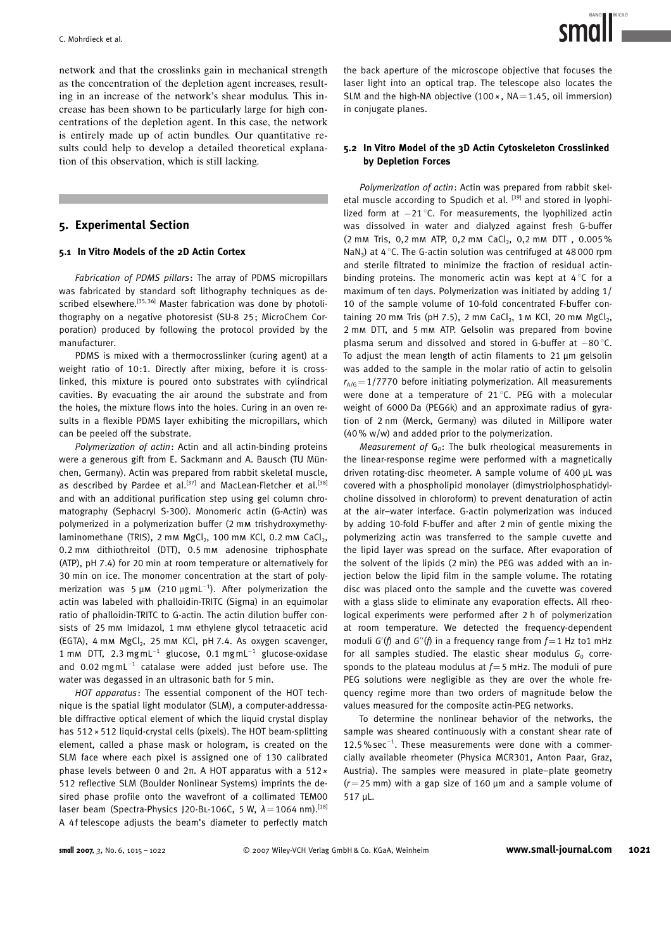network and that the crosslinks gain in mechanical strength as the concentration of the depletion agent increases, resulting in an increase of the network's shear modulus. This increase has been shown to be particularly large for high concentrations of the depletion agent. In this case, the network is entirely made up of actin bundles. Our quantitative results could help to develop a detailed theoretical explanation of this observation, which is still lacking.

# 5. Experimental Section

#### 5.1 In Vitro Models of the 2D Actin Cortex

Fabrication of PDMS pillars: The array of PDMS micropillars was fabricated by standard soft lithography techniques as described elsewhere.<sup>[35, 36]</sup> Master fabrication was done by photolithography on a negative photoresist (SU-8 25; MicroChem Corporation) produced by following the protocol provided by the manufacturer.

PDMS is mixed with a thermocrosslinker (curing agent) at a weight ratio of 10:1. Directly after mixing, before it is crosslinked, this mixture is poured onto substrates with cylindrical cavities. By evacuating the air around the substrate and from the holes, the mixture flows into the holes. Curing in an oven results in a flexible PDMS layer exhibiting the micropillars, which can be peeled off the substrate.

Polymerization of actin: Actin and all actin-binding proteins were a generous gift from E. Sackmann and A. Bausch (TU München, Germany). Actin was prepared from rabbit skeletal muscle, as described by Pardee et al.<sup>[37]</sup> and MacLean-Fletcher et al.<sup>[38]</sup> and with an additional purification step using gel column chromatography (Sephacryl S-300). Monomeric actin (G-Actin) was polymerized in a polymerization buffer (2 mm trishydroxymethylaminomethane (TRIS),  $2 \text{ mm } \text{MgCl}_2$ , 100 mm KCl, 0.2 mm CaCl<sub>2</sub>, 0.2 mm dithiothreitol (DTT), 0.5 mm adenosine triphosphate (ATP), pH 7.4) for 20 min at room temperature or alternatively for 30 min on ice. The monomer concentration at the start of polymerization was 5  $\mu$ m (210  $\mu$ gmL<sup>-1</sup>). After polymerization the actin was labeled with phalloidin-TRITC (Sigma) in an equimolar ratio of phalloidin-TRITC to G-actin. The actin dilution buffer consists of 25 mm Imidazol, 1 mm ethylene glycol tetraacetic acid (EGTA), 4 mm MgCl<sub>2</sub>, 25 mm KCl, pH 7.4. As oxygen scavenger, 1 mm DTT, 2.3 mgmL $^{-1}$  glucose, 0.1 mgmL $^{-1}$  glucose-oxidase and  $0.02$  mgmL<sup>-1</sup> catalase were added just before use. The water was degassed in an ultrasonic bath for 5 min.

HOT apparatus: The essential component of the HOT technique is the spatial light modulator (SLM), a computer-addressable diffractive optical element of which the liquid crystal display has  $512 \times 512$  liquid-crystal cells (pixels). The HOT beam-splitting element, called a phase mask or hologram, is created on the SLM face where each pixel is assigned one of 130 calibrated phase levels between 0 and  $2\pi$ . A HOT apparatus with a 512  $\times$ 512 reflective SLM (Boulder Nonlinear Systems) imprints the desired phase profile onto the wavefront of a collimated TEM00 laser beam (Spectra-Physics J20-BL-106C, 5 W,  $\lambda$  = 1064 nm).<sup>[18]</sup> A 4f telescope adjusts the beam's diameter to perfectly match

the back aperture of the microscope objective that focuses the laser light into an optical trap. The telescope also locates the SLM and the high-NA objective  $(100 \times, \text{NA} = 1.45, \text{ oil immersion})$ in conjugate planes.

#### 5.2 In Vitro Model of the 3D Actin Cytoskeleton Crosslinked by Depletion Forces

Polymerization of actin: Actin was prepared from rabbit skeletal muscle according to Spudich et al. [39] and stored in lyophilized form at  $-21^{\circ}$ C. For measurements, the lyophilized actin was dissolved in water and dialyzed against fresh G-buffer (2 mm Tris, 0,2 mm ATP, 0,2 mm CaCl<sub>2</sub>, 0,2 mm DTT, 0.005% NaN<sub>3</sub>) at  $4^{\circ}$ C. The G-actin solution was centrifuged at 48000 rpm and sterile filtrated to minimize the fraction of residual actinbinding proteins. The monomeric actin was kept at  $4^{\circ}$ C for a maximum of ten days. Polymerization was initiated by adding 1/ 10 of the sample volume of 10-fold concentrated F-buffer containing 20 mm Tris (pH 7.5), 2 mm CaCl<sub>2</sub>, 1 m KCl, 20 mm MgCl<sub>2</sub>, 2 mm DTT, and 5 mm ATP. Gelsolin was prepared from bovine plasma serum and dissolved and stored in G-buffer at  $-80^{\circ}$ C. To adjust the mean length of actin filaments to  $21 \mu m$  gelsolin was added to the sample in the molar ratio of actin to gelsolin  $r_{A/G}$ =1/7770 before initiating polymerization. All measurements were done at a temperature of 21 $^{\circ}$ C. PEG with a molecular weight of 6000 Da (PEG6k) and an approximate radius of gyration of 2 nm (Merck, Germany) was diluted in Millipore water (40% w/w) and added prior to the polymerization.

Measurement of  $G_0$ : The bulk rheological measurements in the linear-response regime were performed with a magnetically driven rotating-disc rheometer. A sample volume of 400  $\mu$ L was covered with a phospholipid monolayer (dimystriolphosphatidylcholine dissolved in chloroform) to prevent denaturation of actin at the air–water interface. G-actin polymerization was induced by adding 10-fold F-buffer and after 2 min of gentle mixing the polymerizing actin was transferred to the sample cuvette and the lipid layer was spread on the surface. After evaporation of the solvent of the lipids (2 min) the PEG was added with an injection below the lipid film in the sample volume. The rotating disc was placed onto the sample and the cuvette was covered with a glass slide to eliminate any evaporation effects. All rheological experiments were performed after 2 h of polymerization at room temperature. We detected the frequency-dependent moduli G'(f) and G''(f) in a frequency range from  $f=1$  Hz to1 mHz for all samples studied. The elastic shear modulus  $G_0$  corresponds to the plateau modulus at  $f=5$  mHz. The moduli of pure PEG solutions were negligible as they are over the whole frequency regime more than two orders of magnitude below the values measured for the composite actin-PEG networks.

To determine the nonlinear behavior of the networks, the sample was sheared continuously with a constant shear rate of  $12.5\%$  sec<sup>-1</sup>. These measurements were done with a commercially available rheometer (Physica MCR301, Anton Paar, Graz, Austria). The samples were measured in plate–plate geometry  $(r=25 \text{ mm})$  with a gap size of 160 µm and a sample volume of 517 µL.